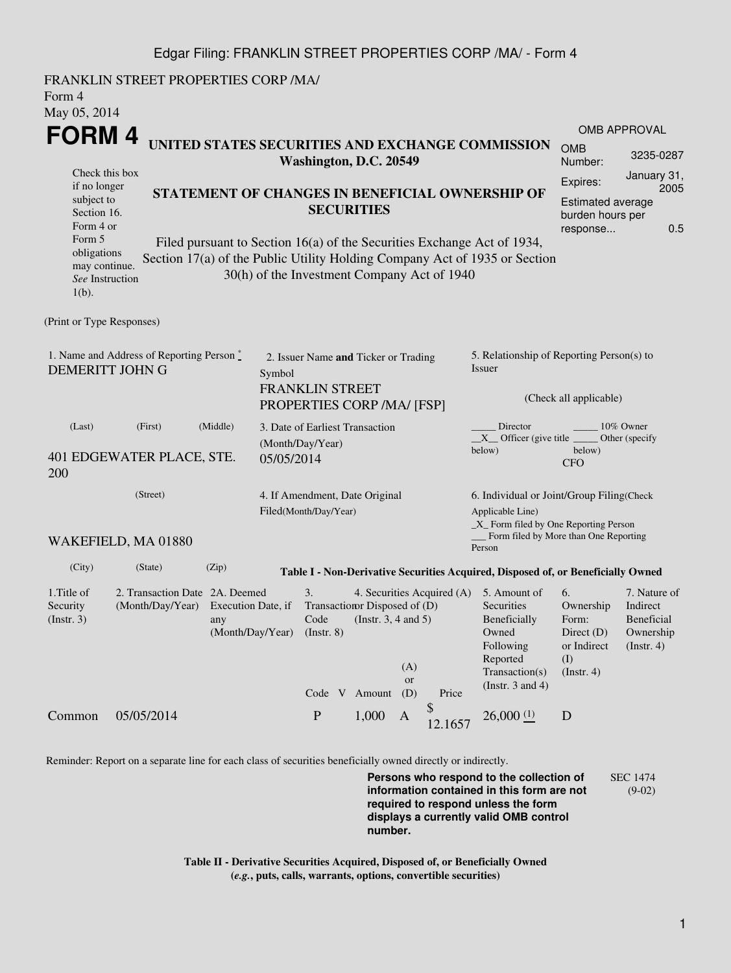## Edgar Filing: FRANKLIN STREET PROPERTIES CORP /MA/ - Form 4

FRANKLIN STREET PROPERTIES CORP /MA/ Form 4 May 05, 2014 **FORM 4** Check this box if no longer subject to Section 16. Form 4 or Form 5 obligations may continue. *See* Instruction  $1(h)$ . **UNITED STATES SECURITIES AND EXCHANGE COMMISSION Washington, D.C. 20549 STATEMENT OF CHANGES IN BENEFICIAL OWNERSHIP OF SECURITIES** Filed pursuant to Section 16(a) of the Securities Exchange Act of 1934, Section 17(a) of the Public Utility Holding Company Act of 1935 or Section 30(h) of the Investment Company Act of 1940 OMB APPROVAL OMB Number: 3235-0287 Expires: January 31, 2005 Estimated average burden hours per response... 0.5 (Print or Type Responses) 1. Name and Address of Reporting Person  $\degree$ DEMERITT JOHN G 2. Issuer Name **and** Ticker or Trading Symbol FRANKLIN STREET PROPERTIES CORP /MA/ [FSP] 5. Relationship of Reporting Person(s) to Issuer (Check all applicable) Director \_\_\_\_\_\_\_\_ 10% Owner  $X$ <sup>Officer</sup> (give title below) Other (specify below) CFO (Last) (First) (Middle) 401 EDGEWATER PLACE, STE. 200 3. Date of Earliest Transaction (Month/Day/Year) 05/05/2014 (Street) WAKEFIELD, MA 01880 4. If Amendment, Date Original Filed(Month/Day/Year) 6. Individual or Joint/Group Filing(Check Applicable Line) \_X\_ Form filed by One Reporting Person Form filed by More than One Reporting Person (City) (State) (Zip) **Table I - Non-Derivative Securities Acquired, Disposed of, or Beneficially Owned** 1.Title of Security (Instr. 3) 2. Transaction Date 2A. Deemed (Month/Day/Year) Execution Date, if any (Month/Day/Year) 3. Transaction Disposed of (D) Code (Instr. 8) 4. Securities Acquired (A) (Instr. 3, 4 and 5) 5. Amount of **Securities** Beneficially Owned Following Reported Transaction(s) (Instr. 3 and 4) 6. Ownership Form: Direct (D) or Indirect (I) (Instr. 4) 7. Nature of Indirect Beneficial Ownership (Instr. 4) Code V Amount (A) or (D) Price Common 05/05/2014 P 1,000 A  $\mathcal{S}$  $12.1657$  26,000 (1) D

Reminder: Report on a separate line for each class of securities beneficially owned directly or indirectly.

**Persons who respond to the collection of information contained in this form are not required to respond unless the form displays a currently valid OMB control number.** SEC 1474 (9-02)

**Table II - Derivative Securities Acquired, Disposed of, or Beneficially Owned (***e.g.***, puts, calls, warrants, options, convertible securities)**